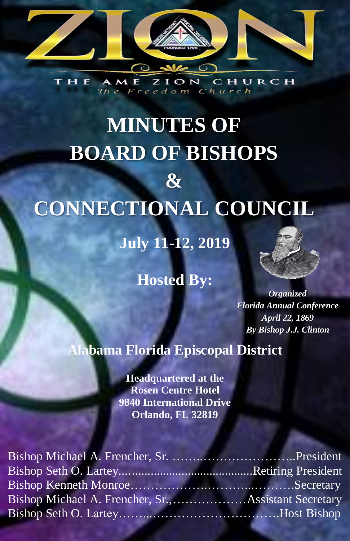

CHURCH A M E  $O N$ 7 The Freedom Church

# **MINUTES OF BOARD OF BISHOPS & CONNECTIONAL COUNCIL**

**July 11-12, 2019**

# **Hosted By:**



*Organized Florida Annual Conference April 22, 1869 By Bishop J.J. Clinton*

# **Alabama Florida Episcopal District**

**Headquartered at the Rosen Centre Hotel 9840 International Drive Orlando, FL 32819**

| Bishop Michael A. Frencher, Sr., Assistant Secretary |  |
|------------------------------------------------------|--|
|                                                      |  |
|                                                      |  |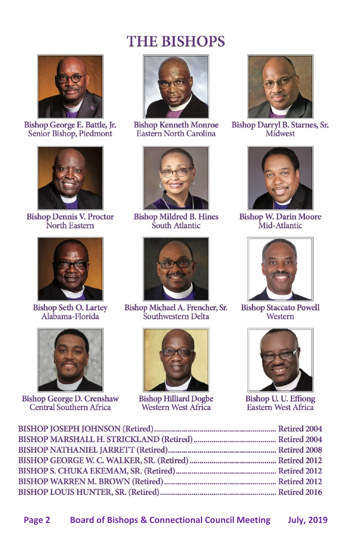# **THE BISHOPS**



Bishop George E. Battle, Jr. Senior Bishop, Piedmont



**Bishop Dennis V. Proctor** North Eastern



**Bishop Seth O. Lartey** Alabama-Florida



**Bishop George D. Crenshaw** Central Southern Africa



**Bishop Kenneth Monroe** Eastern North Carolina



**Bishop Mildred B. Hines**<br>South Atlantic



Bishop Michael A. Frencher, Sr. Southwestern Delta



**Bishop Hilliard Dogbe<br>Western West Africa** 



Bishop Darryl B. Starnes, Sr. Midwest



**Bishop W. Darin Moore**<br>Mid-Atlantic



**Bishop Staccato Powell** Western



**Bishop U. U. Effiong**<br>Eastern West Africa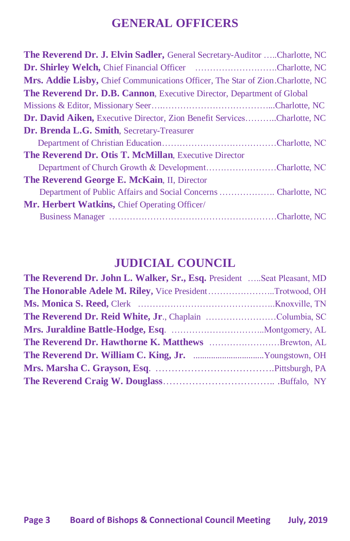# **GENERAL OFFICERS**

| <b>The Reverend Dr. J. Elvin Sadler, General Secretary-Auditor Charlotte, NC</b> |
|----------------------------------------------------------------------------------|
| <b>Dr. Shirley Welch, Chief Financial Officer Charlotte, NC</b>                  |
| Mrs. Addie Lisby, Chief Communications Officer, The Star of Zion Charlotte, NC   |
| <b>The Reverend Dr. D.B. Cannon</b> , Executive Director, Department of Global   |
|                                                                                  |
| Dr. David Aiken, Executive Director, Zion Benefit ServicesCharlotte, NC          |
| Dr. Brenda L.G. Smith, Secretary-Treasurer                                       |
|                                                                                  |
| The Reverend Dr. Otis T. McMillan, Executive Director                            |
| Department of Church Growth & DevelopmentCharlotte, NC                           |
| The Reverend George E. McKain, II, Director                                      |
|                                                                                  |
| <b>Mr. Herbert Watkins, Chief Operating Officer/</b>                             |
|                                                                                  |

# **JUDICIAL COUNCIL**

| The Reverend Dr. John L. Walker, Sr., Esq. President Seat Pleasant, MD |
|------------------------------------------------------------------------|
| The Honorable Adele M. Riley, Vice PresidentTrotwood, OH               |
|                                                                        |
| The Reverend Dr. Reid White, Jr., Chaplain Columbia, SC                |
|                                                                        |
| The Reverend Dr. Hawthorne K. Matthews Brewton, AL                     |
|                                                                        |
|                                                                        |
|                                                                        |
|                                                                        |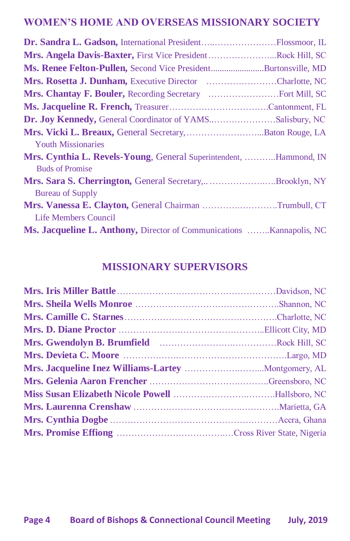# **WOMEN'S HOME AND OVERSEAS MISSIONARY SOCIETY**

| Dr. Sandra L. Gadson, International PresidentFlossmoor, IL                  |  |
|-----------------------------------------------------------------------------|--|
| Mrs. Angela Davis-Baxter, First Vice PresidentRock Hill, SC                 |  |
| Ms. Renee Felton-Pullen, Second Vice PresidentBurtonsville, MD              |  |
| Mrs. Rosetta J. Dunham, Executive Director Charlotte, NC                    |  |
|                                                                             |  |
|                                                                             |  |
| Dr. Joy Kennedy, General Coordinator of YAMSSalisbury, NC                   |  |
| Mrs. Vicki L. Breaux, General Secretary,  Baton Rouge, LA                   |  |
| <b>Youth Missionaries</b>                                                   |  |
| Mrs. Cynthia L. Revels-Young, General Superintendent, Hammond, IN           |  |
| <b>Buds of Promise</b>                                                      |  |
| Mrs. Sara S. Cherrington, General Secretary,Brooklyn, NY                    |  |
| <b>Bureau of Supply</b>                                                     |  |
| Mrs. Vanessa E. Clayton, General Chairman Trumbull, CT                      |  |
| Life Members Council                                                        |  |
| <b>Ms. Jacqueline L. Anthony, Director of Communications Kannapolis, NC</b> |  |

# **MISSIONARY SUPERVISORS**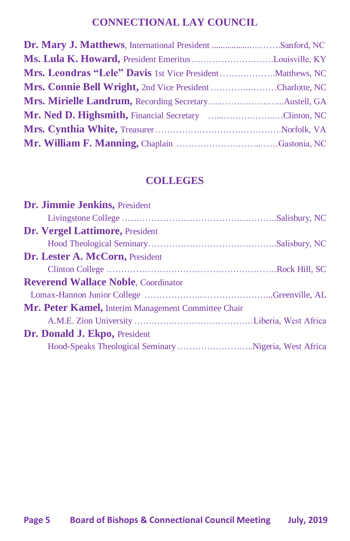# **CONNECTIONAL LAY COUNCIL**

| Dr. Mary J. Matthews, International President Sanford, NC |  |
|-----------------------------------------------------------|--|
|                                                           |  |
|                                                           |  |
| Mrs. Connie Bell Wright, 2nd Vice President Charlotte, NC |  |
|                                                           |  |
| Mr. Ned D. Highsmith, Financial Secretary Clinton, NC     |  |
|                                                           |  |
|                                                           |  |

# **COLLEGES**

| Dr. Jimmie Jenkins, President                         |  |
|-------------------------------------------------------|--|
|                                                       |  |
| Dr. Vergel Lattimore, President                       |  |
|                                                       |  |
| Dr. Lester A. McCorn, President                       |  |
|                                                       |  |
| <b>Reverend Wallace Noble, Coordinator</b>            |  |
|                                                       |  |
| Mr. Peter Kamel, Interim Management Committee Chair   |  |
|                                                       |  |
| Dr. Donald J. Ekpo, President                         |  |
| Hood-Speaks Theological Seminary Nigeria, West Africa |  |
|                                                       |  |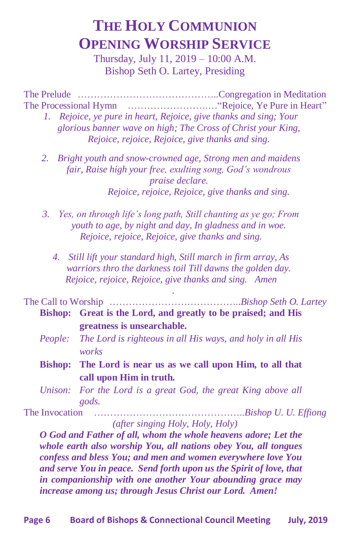# **THE HOLY COMMUNION OPENING WORSHIP SERVICE**

Thursday, July 11, 2019 – 10:00 A.M. Bishop Seth O. Lartey, Presiding

The Prelude ……………………………………..Congregation in Meditation The Processional Hymn …………………….…"Rejoice, Ye Pure in Heart"

- *1. Rejoice, ye pure in heart, Rejoice, give thanks and sing; Your glorious banner wave on high; The Cross of Christ your King, Rejoice, rejoice, Rejoice, give thanks and sing.*
- *2. Bright youth and snow-crowned age, Strong men and maidens fair, Raise high your free, exulting song, God's wondrous praise declare. Rejoice, rejoice, Rejoice, give thanks and sing.*
- *3. Yes, on through life's long path, Still chanting as ye go; From youth to age, by night and day, In gladness and in woe. Rejoice, rejoice, Rejoice, give thanks and sing.*
	- *4. Still lift your standard high, Still march in firm array, As warriors thro the darkness toil Till dawns the golden day. Rejoice, rejoice, Rejoice, give thanks and sing. Amen*

 *.*

The Call to Worship …………………………………..*Bishop Seth O. Lartey* **Bishop: Great is the Lord, and greatly to be praised; and His greatness is unsearchable.**

- *People: The Lord is righteous in all His ways, and holy in all His works*
- **Bishop: The Lord is near us as we call upon Him, to all that call upon Him in truth.**
- *Unison: For the Lord is a great God, the great King above all gods.*

The Invocation ………………………………………..*Bishop U. U. Effiong (after singing Holy, Holy, Holy)*

*O God and Father of all, whom the whole heavens adore; Let the whole earth also worship You, all nations obey You, all tongues confess and bless You; and men and women everywhere love You and serve You in peace. Send forth upon us the Spirit of love, that in companionship with one another Your abounding grace may increase among us; through Jesus Christ our Lord. Amen!*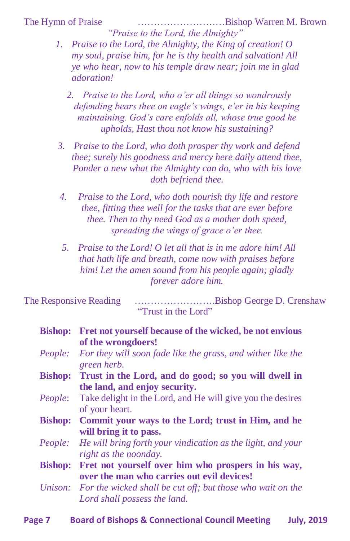The Hymn of Praise ………………………Bishop Warren M. Brown *"Praise to the Lord, the Almighty"*

- *1. Praise to the Lord, the Almighty, the King of creation! O my soul, praise him, for he is thy health and salvation! All ye who hear, now to his temple draw near; join me in glad adoration!*
	- *2. Praise to the Lord, who o'er all things so wondrously defending bears thee on eagle's wings, e'er in his keeping maintaining. God's care enfolds all, whose true good he upholds, Hast thou not know his sustaining?*
- *3. Praise to the Lord, who doth prosper thy work and defend thee; surely his goodness and mercy here daily attend thee, Ponder a new what the Almighty can do, who with his love doth befriend thee.*
- *4. Praise to the Lord, who doth nourish thy life and restore thee, fitting thee well for the tasks that are ever before thee. Then to thy need God as a mother doth speed, spreading the wings of grace o'er thee.*
- *5. Praise to the Lord! O let all that is in me adore him! All that hath life and breath, come now with praises before him! Let the amen sound from his people again; gladly forever adore him.*

The Responsive Reading …………………….Bishop George D. Crenshaw "Trust in the Lord"

| <b>Bishop:</b> | Fret not yourself because of the wicked, be not envious            |  |
|----------------|--------------------------------------------------------------------|--|
|                | of the wrongdoers!                                                 |  |
| People:        | For they will soon fade like the grass, and wither like the        |  |
|                | green herb.                                                        |  |
| <b>Bishop:</b> | Trust in the Lord, and do good; so you will dwell in               |  |
|                | the land, and enjoy security.                                      |  |
| People:        | Take delight in the Lord, and He will give you the desires         |  |
|                | of your heart.                                                     |  |
| <b>Bishop:</b> | Commit your ways to the Lord; trust in Him, and he                 |  |
|                | will bring it to pass.                                             |  |
| People:        | He will bring forth your vindication as the light, and your        |  |
|                | right as the noonday.                                              |  |
| <b>Bishop:</b> | Fret not yourself over him who prospers in his way,                |  |
|                | over the man who carries out evil devices!                         |  |
|                | Unison: For the wicked shall be cut off; but those who wait on the |  |
|                | Lord shall possess the land.                                       |  |
|                |                                                                    |  |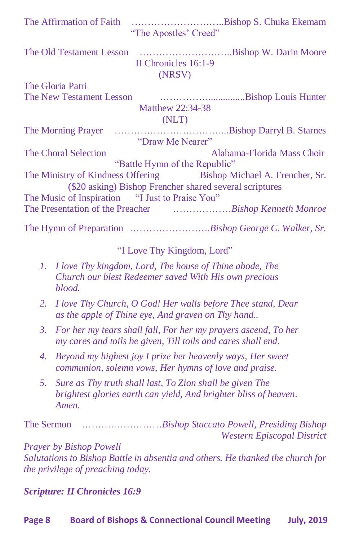| The Affirmation of Faith                        |                       |                                                                                      |
|-------------------------------------------------|-----------------------|--------------------------------------------------------------------------------------|
|                                                 | "The Apostles' Creed" |                                                                                      |
|                                                 |                       |                                                                                      |
|                                                 | II Chronicles 16:1-9  |                                                                                      |
|                                                 | (NRSV)                |                                                                                      |
| The Gloria Patri                                |                       |                                                                                      |
|                                                 |                       |                                                                                      |
|                                                 | Matthew 22:34-38      |                                                                                      |
|                                                 | (NLT)                 |                                                                                      |
|                                                 |                       |                                                                                      |
|                                                 | "Draw Me Nearer"      |                                                                                      |
| <b>The Choral Selection</b>                     |                       | Alabama-Florida Mass Choir                                                           |
|                                                 |                       | "Battle Hymn of the Republic"                                                        |
|                                                 |                       | The Ministry of Kindness Offering Bishop Michael A. Frencher, Sr.                    |
|                                                 |                       | (\$20 asking) Bishop Frencher shared several scriptures                              |
| The Music of Inspiration "I Just to Praise You" |                       |                                                                                      |
|                                                 |                       | The Presentation of the Preacher <b>Franchised Engineerial</b> Sishop Kenneth Monroe |
|                                                 |                       |                                                                                      |

#### "I Love Thy Kingdom, Lord"

- *1. I love Thy kingdom, Lord, The house of Thine abode, The Church our blest Redeemer saved With His own precious blood.*
- *2. I love Thy Church, O God! Her walls before Thee stand, Dear as the apple of Thine eye, And graven on Thy hand..*
- *3. For her my tears shall fall, For her my prayers ascend, To her my cares and toils be given, Till toils and cares shall end.*
- *4. Beyond my highest joy I prize her heavenly ways, Her sweet communion, solemn vows, Her hymns of love and praise.*
- *5. Sure as Thy truth shall last, To Zion shall be given The brightest glories earth can yield, And brighter bliss of heaven. Amen.*

The Sermon ……….……………*Bishop Staccato Powell, Presiding Bishop Western Episcopal District*

*Prayer by Bishop Powell Salutations to Bishop Battle in absentia and others. He thanked the church for the privilege of preaching today.*

*Scripture: II Chronicles 16:9*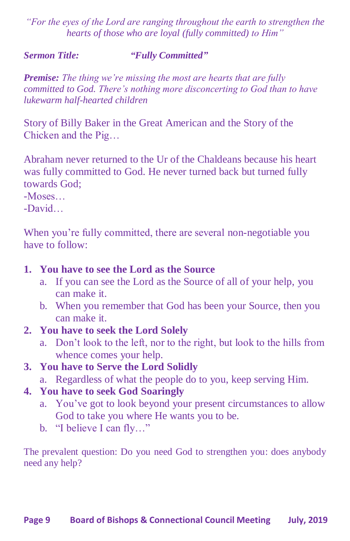*"For the eyes of the Lord are ranging throughout the earth to strengthen the hearts of those who are loyal (fully committed) to Him"*

#### *Sermon Title: "Fully Committed"*

*Premise: The thing we're missing the most are hearts that are fully committed to God. There's nothing more disconcerting to God than to have lukewarm half-hearted children*

Story of Billy Baker in the Great American and the Story of the Chicken and the Pig…

Abraham never returned to the Ur of the Chaldeans because his heart was fully committed to God. He never turned back but turned fully towards God;

-Moses…

-David…

When you're fully committed, there are several non-negotiable you have to follow:

### **1. You have to see the Lord as the Source**

- a. If you can see the Lord as the Source of all of your help, you can make it.
- b. When you remember that God has been your Source, then you can make it.
- **2. You have to seek the Lord Solely** 
	- a. Don't look to the left, nor to the right, but look to the hills from whence comes your help.
- **3. You have to Serve the Lord Solidly**
	- a. Regardless of what the people do to you, keep serving Him.
- **4. You have to seek God Soaringly**
	- a. You've got to look beyond your present circumstances to allow God to take you where He wants you to be.
	- b. "I believe I can fly…"

The prevalent question: Do you need God to strengthen you: does anybody need any help?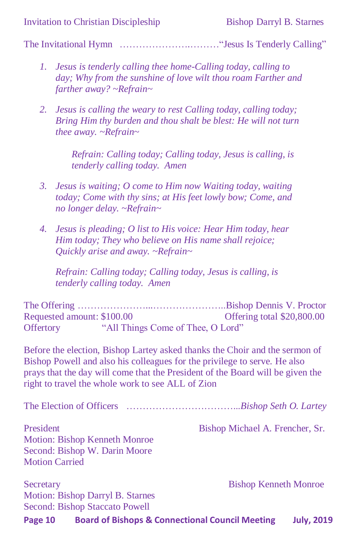The Invitational Hymn  $\dots\dots\dots\dots\dots\dots\dots\dots\dots\dots$  "Jesus Is Tenderly Calling"

- *1. Jesus is tenderly calling thee home-Calling today, calling to day; Why from the sunshine of love wilt thou roam Farther and farther away? ~Refrain~*
- *2. Jesus is calling the weary to rest Calling today, calling today; Bring Him thy burden and thou shalt be blest: He will not turn thee away. ~Refrain~*

*Refrain: Calling today; Calling today, Jesus is calling, is tenderly calling today. Amen*

- *3. Jesus is waiting; O come to Him now Waiting today, waiting today; Come with thy sins; at His feet lowly bow; Come, and no longer delay. ~Refrain~*
- *4. Jesus is pleading; O list to His voice: Hear Him today, hear Him today; They who believe on His name shall rejoice; Quickly arise and away. ~Refrain~*

*Refrain: Calling today; Calling today, Jesus is calling, is tenderly calling today. Amen*

The Offering …………………...…………………..Bishop Dennis V. Proctor Requested amount: \$100.00 Offertory "All Things Come of Thee, O Lord"

Before the election, Bishop Lartey asked thanks the Choir and the sermon of Bishop Powell and also his colleagues for the privilege to serve. He also prays that the day will come that the President of the Board will be given the right to travel the whole work to see ALL of Zion

| <b>Board of Bishops &amp; Connectional Council Meeting</b><br>Page 10 | <b>July, 2019</b>               |
|-----------------------------------------------------------------------|---------------------------------|
| <b>Second: Bishop Staccato Powell</b>                                 |                                 |
| Motion: Bishop Darryl B. Starnes                                      |                                 |
| Secretary                                                             | <b>Bishop Kenneth Monroe</b>    |
| <b>Motion Carried</b>                                                 |                                 |
| Second: Bishop W. Darin Moore                                         |                                 |
| Motion: Bishop Kenneth Monroe                                         |                                 |
| President                                                             | Bishop Michael A. Frencher, Sr. |
|                                                                       |                                 |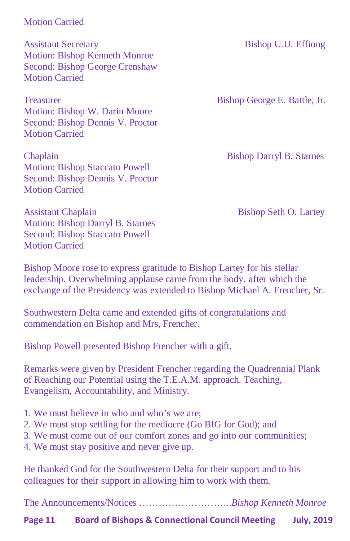#### Motion Carried

Assistant Secretary Bishop U.U. Effiong Motion: Bishop Kenneth Monroe Second: Bishop George Crenshaw Motion Carried

Treasurer Bishop George E. Battle, Jr. Motion: Bishop W. Darin Moore Second: Bishop Dennis V. Proctor Motion Carried

Chaplain Bishop Darryl B. Starnes Motion: Bishop Staccato Powell Second: Bishop Dennis V. Proctor Motion Carried

Assistant Chaplain Bishop Seth O. Lartey Motion: Bishop Darryl B. Starnes Second: Bishop Staccato Powell Motion Carried

Bishop Moore rose to express gratitude to Bishop Lartey for his stellar leadership. Overwhelming applause came from the body, after which the exchange of the Presidency was extended to Bishop Michael A. Frencher, Sr.

Southwestern Delta came and extended gifts of congratulations and commendation on Bishop and Mrs, Frencher.

Bishop Powell presented Bishop Frencher with a gift.

Remarks were given by President Frencher regarding the Quadrennial Plank of Reaching our Potential using the T.E.A.M. approach. Teaching, Evangelism, Accountability, and Ministry.

- 1. We must believe in who and who's we are;
- 2. We must stop settling for the mediocre (Go BIG for God); and
- 3. We must come out of our comfort zones and go into our communities;
- 4. We must stay positive and never give up.

He thanked God for the Southwestern Delta for their support and to his colleagues for their support in allowing him to work with them.

The Announcements/Notices ………………………..*Bishop Kenneth Monroe*

**Page 11 Board of Bishops & Connectional Council Meeting July, 2019**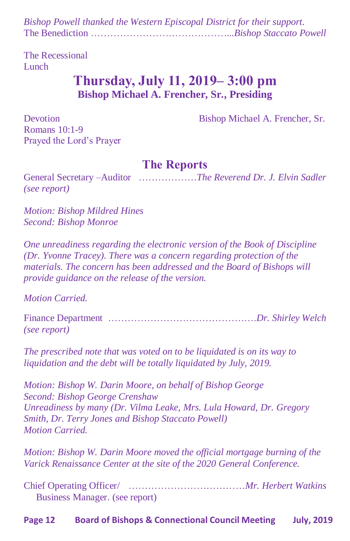*Bishop Powell thanked the Western Episcopal District for their support.* The Benediction ……………………………………...*Bishop Staccato Powell*

The Recessional Lunch

# **Thursday, July 11, 2019– 3:00 pm Bishop Michael A. Frencher, Sr., Presiding**

Devotion Bishop Michael A. Frencher, Sr.

Romans 10:1-9 Prayed the Lord's Prayer

## **The Reports**

General Secretary –Auditor ………………*The Reverend Dr. J. Elvin Sadler (see report)*

*Motion: Bishop Mildred Hines Second: Bishop Monroe*

*One unreadiness regarding the electronic version of the Book of Discipline (Dr. Yvonne Tracey). There was a concern regarding protection of the materials. The concern has been addressed and the Board of Bishops will provide guidance on the release of the version.*

*Motion Carried.*

Finance Department ……………………………………….*Dr. Shirley Welch (see report)*

*The prescribed note that was voted on to be liquidated is on its way to liquidation and the debt will be totally liquidated by July, 2019.*

*Motion: Bishop W. Darin Moore, on behalf of Bishop George Second: Bishop George Crenshaw Unreadiness by many (Dr. Vilma Leake, Mrs. Lula Howard, Dr. Gregory Smith, Dr. Terry Jones and Bishop Staccato Powell) Motion Carried.*

*Motion: Bishop W. Darin Moore moved the official mortgage burning of the Varick Renaissance Center at the site of the 2020 General Conference.*

Chief Operating Officer/ ………………………………*Mr. Herbert Watkins* Business Manager. (see report)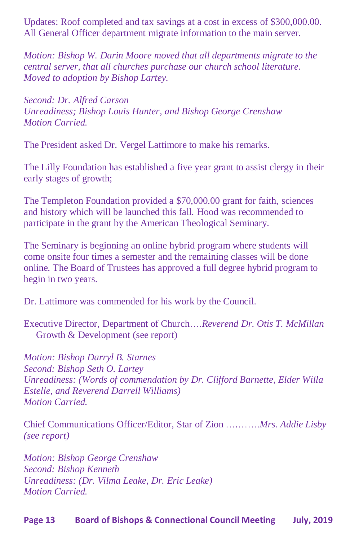Updates: Roof completed and tax savings at a cost in excess of \$300,000.00. All General Officer department migrate information to the main server.

*Motion: Bishop W. Darin Moore moved that all departments migrate to the central server, that all churches purchase our church school literature. Moved to adoption by Bishop Lartey.*

*Second: Dr. Alfred Carson Unreadiness; Bishop Louis Hunter, and Bishop George Crenshaw Motion Carried.*

The President asked Dr. Vergel Lattimore to make his remarks.

The Lilly Foundation has established a five year grant to assist clergy in their early stages of growth;

The Templeton Foundation provided a \$70,000.00 grant for faith, sciences and history which will be launched this fall. Hood was recommended to participate in the grant by the American Theological Seminary.

The Seminary is beginning an online hybrid program where students will come onsite four times a semester and the remaining classes will be done online. The Board of Trustees has approved a full degree hybrid program to begin in two years.

Dr. Lattimore was commended for his work by the Council.

Executive Director, Department of Church….*Reverend Dr. Otis T. McMillan* Growth & Development (see report)

*Motion: Bishop Darryl B. Starnes Second: Bishop Seth O. Lartey Unreadiness: (Words of commendation by Dr. Clifford Barnette, Elder Willa Estelle, and Reverend Darrell Williams) Motion Carried.*

Chief Communications Officer/Editor, Star of Zion ….…….*Mrs. Addie Lisby (see report)*

*Motion: Bishop George Crenshaw Second: Bishop Kenneth Unreadiness: (Dr. Vilma Leake, Dr. Eric Leake) Motion Carried.*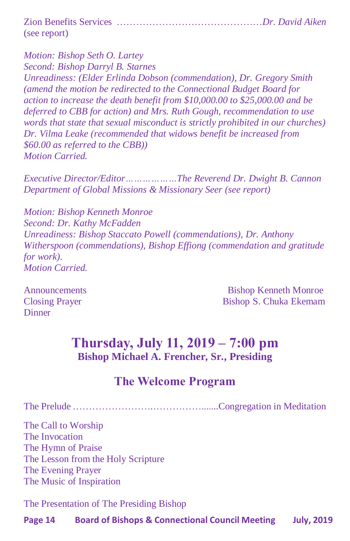| (see report) |  |
|--------------|--|

*Motion: Bishop Seth O. Lartey Second: Bishop Darryl B. Starnes Unreadiness: (Elder Erlinda Dobson (commendation), Dr. Gregory Smith (amend the motion be redirected to the Connectional Budget Board for action to increase the death benefit from \$10,000.00 to \$25,000.00 and be deferred to CBB for action) and Mrs. Ruth Gough, recommendation to use words that state that sexual misconduct is strictly prohibited in our churches) Dr. Vilma Leake (recommended that widows benefit be increased from \$60.00 as referred to the CBB)) Motion Carried.*

*Executive Director/Editor………………The Reverend Dr. Dwight B. Cannon Department of Global Missions & Missionary Seer (see report)*

*Motion: Bishop Kenneth Monroe Second: Dr. Kathy McFadden Unreadiness: Bishop Staccato Powell (commendations), Dr. Anthony Witherspoon (commendations), Bishop Effiong (commendation and gratitude for work). Motion Carried.*

**Dinner** 

Announcements Bishop Kenneth Monroe Closing Prayer Bishop S. Chuka Ekemam

# **Thursday, July 11, 2019 – 7:00 pm Bishop Michael A. Frencher, Sr., Presiding**

# **The Welcome Program**

The Prelude …………………….…………….......Congregation in Meditation

The Call to Worship The Invocation The Hymn of Praise The Lesson from the Holy Scripture The Evening Prayer The Music of Inspiration

The Presentation of The Presiding Bishop

**Page 14 Board of Bishops & Connectional Council Meeting July, 2019**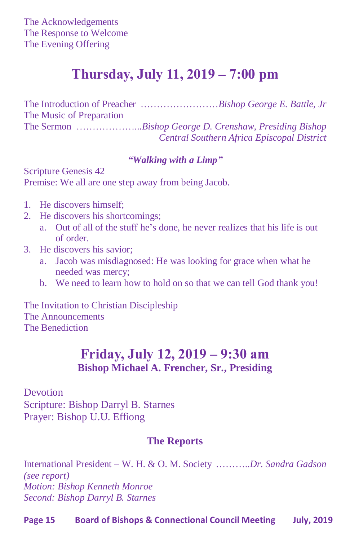# **Thursday, July 11, 2019 – 7:00 pm**

The Introduction of Preacher ……………………*Bishop George E. Battle, Jr* The Music of Preparation The Sermon ………………...*Bishop George D. Crenshaw, Presiding Bishop Central Southern Africa Episcopal District*

#### *"Walking with a Limp"*

Scripture Genesis 42 Premise: We all are one step away from being Jacob.

- 1. He discovers himself;
- 2. He discovers his shortcomings;
	- a. Out of all of the stuff he's done, he never realizes that his life is out of order.
- 3. He discovers his savior;
	- a. Jacob was misdiagnosed: He was looking for grace when what he needed was mercy;
	- b. We need to learn how to hold on so that we can tell God thank you!

The Invitation to Christian Discipleship The Announcements The Benediction

# **Friday, July 12, 2019 – 9:30 am Bishop Michael A. Frencher, Sr., Presiding**

Devotion

Scripture: Bishop Darryl B. Starnes Prayer: Bishop U.U. Effiong

### **The Reports**

International President – W. H. & O. M. Society ………..*Dr. Sandra Gadson (see report) Motion: Bishop Kenneth Monroe Second: Bishop Darryl B. Starnes*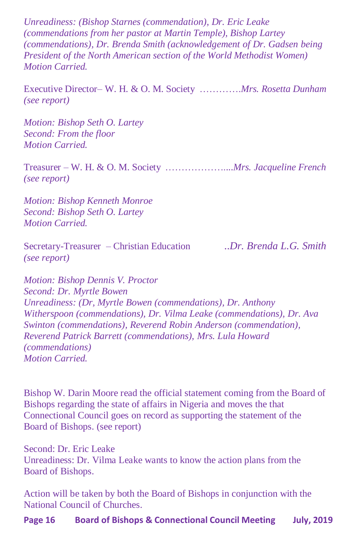*Unreadiness: (Bishop Starnes (commendation), Dr. Eric Leake (commendations from her pastor at Martin Temple), Bishop Lartey (commendations), Dr. Brenda Smith (acknowledgement of Dr. Gadsen being President of the North American section of the World Methodist Women) Motion Carried.*

Executive Director– W. H. & O. M. Society ………….*Mrs. Rosetta Dunham (see report)*

*Motion: Bishop Seth O. Lartey Second: From the floor Motion Carried.*

Treasurer – W. H. & O. M. Society ………………....*Mrs. Jacqueline French (see report)*

*Motion: Bishop Kenneth Monroe Second: Bishop Seth O. Lartey Motion Carried.*

Secretary-Treasurer – Christian Education ..*Dr. Brenda L.G. Smith (see report)*

*Motion: Bishop Dennis V. Proctor Second: Dr. Myrtle Bowen Unreadiness: (Dr, Myrtle Bowen (commendations), Dr. Anthony Witherspoon (commendations), Dr. Vilma Leake (commendations), Dr. Ava Swinton (commendations), Reverend Robin Anderson (commendation), Reverend Patrick Barrett (commendations), Mrs. Lula Howard (commendations) Motion Carried.*

Bishop W. Darin Moore read the official statement coming from the Board of Bishops regarding the state of affairs in Nigeria and moves the that Connectional Council goes on record as supporting the statement of the Board of Bishops. (see report)

Second: Dr. Eric Leake Unreadiness: Dr. Vilma Leake wants to know the action plans from the Board of Bishops.

Action will be taken by both the Board of Bishops in conjunction with the National Council of Churches.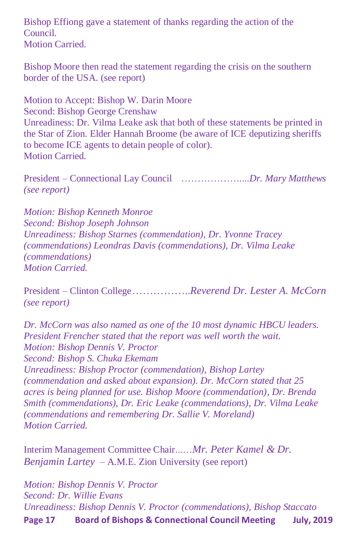Bishop Effiong gave a statement of thanks regarding the action of the Council. Motion Carried.

Bishop Moore then read the statement regarding the crisis on the southern border of the USA. (see report)

Motion to Accept: Bishop W. Darin Moore Second: Bishop George Crenshaw Unreadiness: Dr. Vilma Leake ask that both of these statements be printed in the Star of Zion. Elder Hannah Broome (be aware of ICE deputizing sheriffs to become ICE agents to detain people of color). Motion Carried.

President – Connectional Lay Council ………………....*Dr. Mary Matthews (see report)*

*Motion: Bishop Kenneth Monroe Second: Bishop Joseph Johnson Unreadiness: Bishop Starnes (commendation), Dr. Yvonne Tracey (commendations) Leondras Davis (commendations), Dr. Vilma Leake (commendations) Motion Carried.*

President – Clinton College……………..*Reverend Dr. Lester A. McCorn (see report)*

*Dr. McCorn was also named as one of the 10 most dynamic HBCU leaders. President Frencher stated that the report was well worth the wait. Motion: Bishop Dennis V. Proctor Second: Bishop S. Chuka Ekemam Unreadiness: Bishop Proctor (commendation), Bishop Lartey (commendation and asked about expansion). Dr. McCorn stated that 25 acres is being planned for use. Bishop Moore (commendation), Dr. Brenda Smith (commendations), Dr. Eric Leake (commendations), Dr. Vilma Leake (commendations and remembering Dr. Sallie V. Moreland) Motion Carried.*

Interim Management Committee Chair...…*Mr. Peter Kamel & Dr. Benjamin Lartey* – A.M.E. Zion University (see report)

**Page 17 Board of Bishops & Connectional Council Meeting July, 2019** *Motion: Bishop Dennis V. Proctor Second: Dr. Willie Evans Unreadiness: Bishop Dennis V. Proctor (commendations), Bishop Staccato*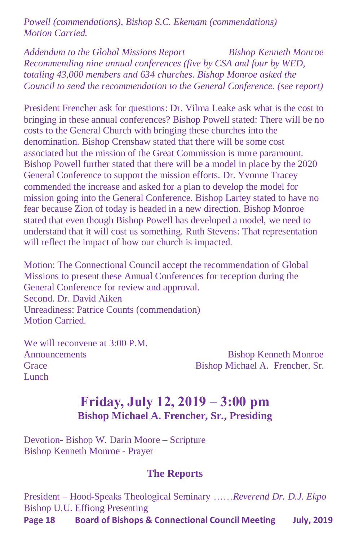*Powell (commendations), Bishop S.C. Ekemam (commendations) Motion Carried.*

*Addendum to the Global Missions Report Bishop Kenneth Monroe Recommending nine annual conferences (five by CSA and four by WED, totaling 43,000 members and 634 churches. Bishop Monroe asked the Council to send the recommendation to the General Conference. (see report)*

President Frencher ask for questions: Dr. Vilma Leake ask what is the cost to bringing in these annual conferences? Bishop Powell stated: There will be no costs to the General Church with bringing these churches into the denomination. Bishop Crenshaw stated that there will be some cost associated but the mission of the Great Commission is more paramount. Bishop Powell further stated that there will be a model in place by the 2020 General Conference to support the mission efforts. Dr. Yvonne Tracey commended the increase and asked for a plan to develop the model for mission going into the General Conference. Bishop Lartey stated to have no fear because Zion of today is headed in a new direction. Bishop Monroe stated that even though Bishop Powell has developed a model, we need to understand that it will cost us something. Ruth Stevens: That representation will reflect the impact of how our church is impacted.

Motion: The Connectional Council accept the recommendation of Global Missions to present these Annual Conferences for reception during the General Conference for review and approval. Second. Dr. David Aiken Unreadiness: Patrice Counts (commendation) Motion Carried.

We will reconvene at  $3:00 \text{ P.M.}$ **Lunch** 

Announcements Bishop Kenneth Monroe Grace Bishop Michael A. Frencher, Sr.

# **Friday, July 12, 2019 – 3:00 pm Bishop Michael A. Frencher, Sr., Presiding**

Devotion- Bishop W. Darin Moore – Scripture Bishop Kenneth Monroe - Prayer

#### **The Reports**

**Page 18 Board of Bishops & Connectional Council Meeting July, 2019** President – Hood-Speaks Theological Seminary ……*Reverend Dr. D.J. Ekpo* Bishop U.U. Effiong Presenting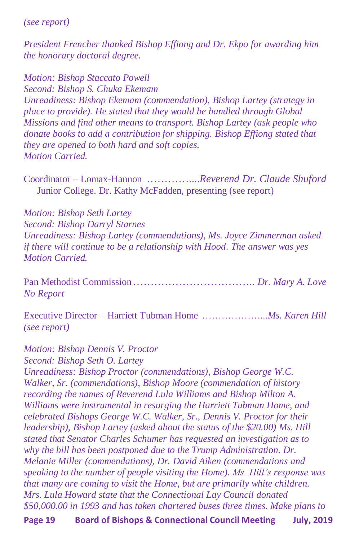*(see report)*

*President Frencher thanked Bishop Effiong and Dr. Ekpo for awarding him the honorary doctoral degree.*

*Motion: Bishop Staccato Powell Second: Bishop S. Chuka Ekemam Unreadiness: Bishop Ekemam (commendation), Bishop Lartey (strategy in place to provide). He stated that they would be handled through Global Missions and find other means to transport. Bishop Lartey (ask people who donate books to add a contribution for shipping. Bishop Effiong stated that they are opened to both hard and soft copies. Motion Carried.*

Coordinator – Lomax-Hannon …………....*Reverend Dr. Claude Shuford* Junior College. Dr. Kathy McFadden, presenting (see report)

*Motion: Bishop Seth Lartey Second: Bishop Darryl Starnes Unreadiness: Bishop Lartey (commendations), Ms. Joyce Zimmerman asked if there will continue to be a relationship with Hood. The answer was yes Motion Carried.*

Pan Methodist Commission…………………………….. *Dr. Mary A. Love No Report*

Executive Director – Harriett Tubman Home ………………...*Ms. Karen Hill (see report)*

#### *Motion: Bishop Dennis V. Proctor*

*Second: Bishop Seth O. Lartey*

*Unreadiness: Bishop Proctor (commendations), Bishop George W.C. Walker, Sr. (commendations), Bishop Moore (commendation of history recording the names of Reverend Lula Williams and Bishop Milton A. Williams were instrumental in resurging the Harriett Tubman Home, and celebrated Bishops George W.C. Walker, Sr., Dennis V. Proctor for their leadership), Bishop Lartey (asked about the status of the \$20.00) Ms. Hill stated that Senator Charles Schumer has requested an investigation as to why the bill has been postponed due to the Trump Administration. Dr. Melanie Miller (commendations), Dr. David Aiken (commendations and speaking to the number of people visiting the Home). Ms. Hill's response was that many are coming to visit the Home, but are primarily white children. Mrs. Lula Howard state that the Connectional Lay Council donated \$50,000.00 in 1993 and has taken chartered buses three times. Make plans to* 

**Page 19 Board of Bishops & Connectional Council Meeting July, 2019**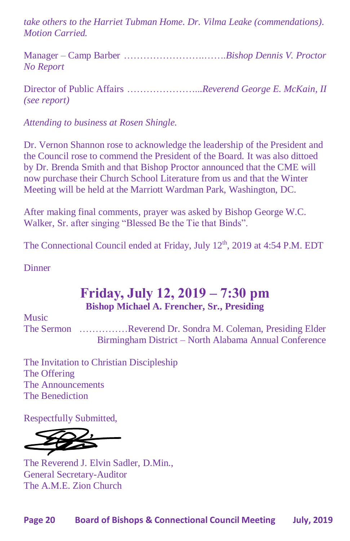*take others to the Harriet Tubman Home. Dr. Vilma Leake (commendations). Motion Carried.*

Manager – Camp Barber …………………….…….*Bishop Dennis V. Proctor No Report* 

Director of Public Affairs …………………...*Reverend George E. McKain, II (see report)*

*Attending to business at Rosen Shingle.* 

Dr. Vernon Shannon rose to acknowledge the leadership of the President and the Council rose to commend the President of the Board. It was also dittoed by Dr. Brenda Smith and that Bishop Proctor announced that the CME will now purchase their Church School Literature from us and that the Winter Meeting will be held at the Marriott Wardman Park, Washington, DC.

After making final comments, prayer was asked by Bishop George W.C. Walker, Sr. after singing "Blessed Be the Tie that Binds".

The Connectional Council ended at Friday, July 12<sup>th</sup>, 2019 at 4:54 P.M. EDT

**Dinner** 

# **Friday, July 12, 2019 – 7:30 pm Bishop Michael A. Frencher, Sr., Presiding**

Music The Sermon ……………Reverend Dr. Sondra M. Coleman, Presiding Elder Birmingham District – North Alabama Annual Conference

The Invitation to Christian Discipleship The Offering The Announcements The Benediction

Respectfully Submitted,

The Reverend J. Elvin Sadler, D.Min., General Secretary-Auditor The A.M.E. Zion Church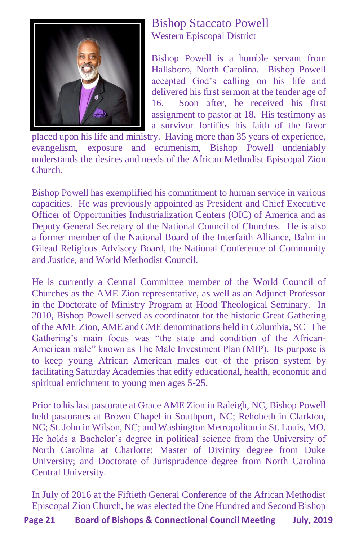

# Bishop Staccato Powell Western Episcopal District

Bishop Powell is a humble servant from Hallsboro, North Carolina. Bishop Powell accepted God's calling on his life and delivered his first sermon at the tender age of 16. Soon after, he received his first assignment to pastor at 18. His testimony as a survivor fortifies his faith of the favor

placed upon his life and ministry. Having more than 35 years of experience, evangelism, exposure and ecumenism, Bishop Powell undeniably understands the desires and needs of the African Methodist Episcopal Zion Church.

Bishop Powell has exemplified his commitment to human service in various capacities. He was previously appointed as President and Chief Executive Officer of Opportunities Industrialization Centers (OIC) of America and as Deputy General Secretary of the National Council of Churches. He is also a former member of the National Board of the Interfaith Alliance, Balm in Gilead Religious Advisory Board, the National Conference of Community and Justice, and World Methodist Council.

He is currently a Central Committee member of the World Council of Churches as the AME Zion representative, as well as an Adjunct Professor in the Doctorate of Ministry Program at Hood Theological Seminary. In 2010, Bishop Powell served as coordinator for the historic Great Gathering of the AME Zion, AME and CME denominations held in Columbia, SC The Gathering's main focus was "the state and condition of the African-American male" known as The Male Investment Plan (MIP). Its purpose is to keep young African American males out of the prison system by facilitating Saturday Academies that edify educational, health, economic and spiritual enrichment to young men ages 5-25.

Prior to his last pastorate at Grace AME Zion in Raleigh, NC, Bishop Powell held pastorates at Brown Chapel in Southport, NC; Rehobeth in Clarkton, NC; St. John in Wilson, NC; and Washington Metropolitan in St. Louis, MO. He holds a Bachelor's degree in political science from the University of North Carolina at Charlotte; Master of Divinity degree from Duke University; and Doctorate of Jurisprudence degree from North Carolina Central University.

In July of 2016 at the Fiftieth General Conference of the African Methodist Episcopal Zion Church, he was elected the One Hundred and Second Bishop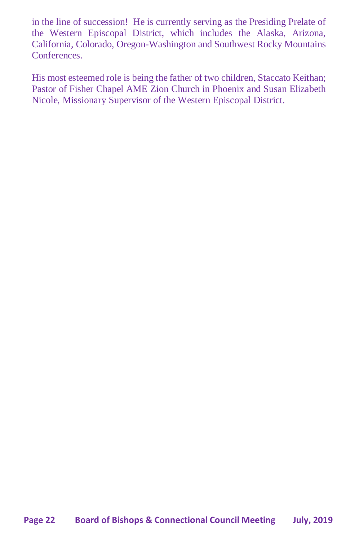in the line of succession! He is currently serving as the Presiding Prelate of the Western Episcopal District, which includes the Alaska, Arizona, California, Colorado, Oregon-Washington and Southwest Rocky Mountains **Conferences** 

His most esteemed role is being the father of two children, Staccato Keithan; Pastor of Fisher Chapel AME Zion Church in Phoenix and Susan Elizabeth Nicole, Missionary Supervisor of the Western Episcopal District.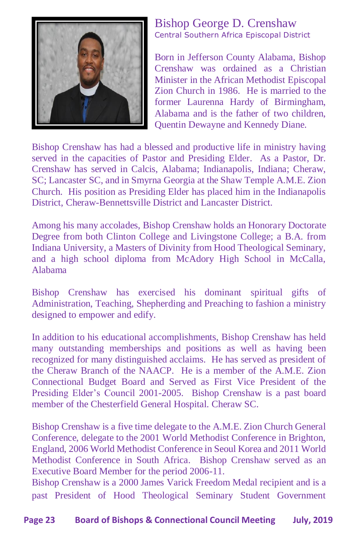

#### Bishop George D. Crenshaw Central Southern Africa Episcopal District

Born in Jefferson County Alabama, Bishop Crenshaw was ordained as a Christian Minister in the African Methodist Episcopal Zion Church in 1986. He is married to the former Laurenna Hardy of Birmingham, Alabama and is the father of two children, Quentin Dewayne and Kennedy Diane.

Bishop Crenshaw has had a blessed and productive life in ministry having served in the capacities of Pastor and Presiding Elder. As a Pastor, Dr. Crenshaw has served in Calcis, Alabama; Indianapolis, Indiana; Cheraw, SC; Lancaster SC, and in Smyrna Georgia at the Shaw Temple A.M.E. Zion Church. His position as Presiding Elder has placed him in the Indianapolis District, Cheraw-Bennettsville District and Lancaster District.

Among his many accolades, Bishop Crenshaw holds an Honorary Doctorate Degree from both Clinton College and Livingstone College; a B.A. from Indiana University, a Masters of Divinity from Hood Theological Seminary, and a high school diploma from McAdory High School in McCalla, Alabama

Bishop Crenshaw has exercised his dominant spiritual gifts of Administration, Teaching, Shepherding and Preaching to fashion a ministry designed to empower and edify.

In addition to his educational accomplishments, Bishop Crenshaw has held many outstanding memberships and positions as well as having been recognized for many distinguished acclaims. He has served as president of the Cheraw Branch of the NAACP. He is a member of the A.M.E. Zion Connectional Budget Board and Served as First Vice President of the Presiding Elder's Council 2001-2005. Bishop Crenshaw is a past board member of the Chesterfield General Hospital. Cheraw SC.

Bishop Crenshaw is a five time delegate to the A.M.E. Zion Church General Conference, delegate to the 2001 World Methodist Conference in Brighton, England, 2006 World Methodist Conference in Seoul Korea and 2011 World Methodist Conference in South Africa. Bishop Crenshaw served as an Executive Board Member for the period 2006-11.

Bishop Crenshaw is a 2000 James Varick Freedom Medal recipient and is a past President of Hood Theological Seminary Student Government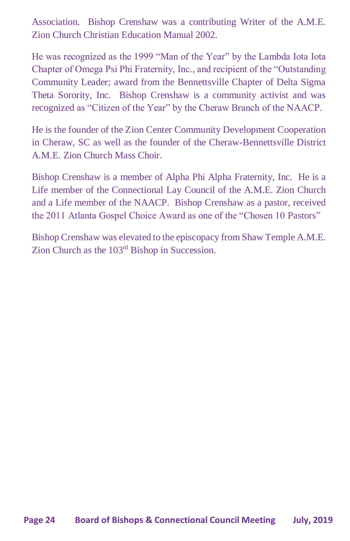Association. Bishop Crenshaw was a contributing Writer of the A.M.E. Zion Church Christian Education Manual 2002.

He was recognized as the 1999 "Man of the Year" by the Lambda Iota Iota Chapter of Omega Psi Phi Fraternity, Inc., and recipient of the "Outstanding Community Leader; award from the Bennettsville Chapter of Delta Sigma Theta Sorority, Inc. Bishop Crenshaw is a community activist and was recognized as "Citizen of the Year" by the Cheraw Branch of the NAACP.

He is the founder of the Zion Center Community Development Cooperation in Cheraw, SC as well as the founder of the Cheraw-Bennettsville District A.M.E. Zion Church Mass Choir.

Bishop Crenshaw is a member of Alpha Phi Alpha Fraternity, Inc. He is a Life member of the Connectional Lay Council of the A.M.E. Zion Church and a Life member of the NAACP. Bishop Crenshaw as a pastor, received the 2011 Atlanta Gospel Choice Award as one of the "Chosen 10 Pastors"

Bishop Crenshaw was elevated to the episcopacy from Shaw Temple A.M.E. Zion Church as the 103rd Bishop in Succession.